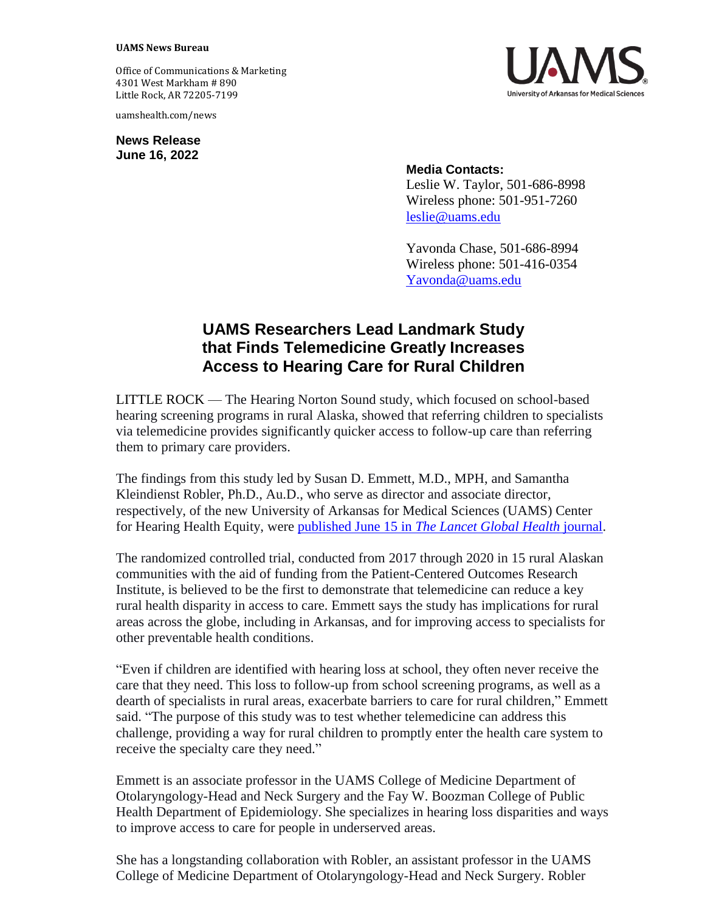## **UAMS News Bureau**

Office of Communications & Marketing 4301 West Markham # 890 Little Rock, AR 72205-7199

uamshealth.com/news

**News Release June 16, 2022**



## **Media Contacts:**

Leslie W. Taylor, 501-686-8998 Wireless phone: 501-951-7260 [leslie@uams.edu](mailto:leslie@uams.edu)

Yavonda Chase, 501-686-8994 Wireless phone: 501-416-0354 [Yavonda@uams.edu](mailto:Yavonda@uams.edu)

## **UAMS Researchers Lead Landmark Study that Finds Telemedicine Greatly Increases Access to Hearing Care for Rural Children**

LITTLE ROCK — The Hearing Norton Sound study, which focused on school-based hearing screening programs in rural Alaska, showed that referring children to specialists via telemedicine provides significantly quicker access to follow-up care than referring them to primary care providers.

The findings from this study led by Susan D. Emmett, M.D., MPH, and Samantha Kleindienst Robler, Ph.D., Au.D., who serve as director and associate director, respectively, of the new University of Arkansas for Medical Sciences (UAMS) Center for Hearing Health Equity, were published June 15 in *[The Lancet Global Health](https://www.thelancet.com/journals/langlo/article/PIIS2214-109X(22)00184-X/fulltext)* journal.

The randomized controlled trial, conducted from 2017 through 2020 in 15 rural Alaskan communities with the aid of funding from the Patient-Centered Outcomes Research Institute, is believed to be the first to demonstrate that telemedicine can reduce a key rural health disparity in access to care. Emmett says the study has implications for rural areas across the globe, including in Arkansas, and for improving access to specialists for other preventable health conditions.

"Even if children are identified with hearing loss at school, they often never receive the care that they need. This loss to follow-up from school screening programs, as well as a dearth of specialists in rural areas, exacerbate barriers to care for rural children," Emmett said. "The purpose of this study was to test whether telemedicine can address this challenge, providing a way for rural children to promptly enter the health care system to receive the specialty care they need."

Emmett is an associate professor in the UAMS College of Medicine Department of Otolaryngology-Head and Neck Surgery and the Fay W. Boozman College of Public Health Department of Epidemiology. She specializes in hearing loss disparities and ways to improve access to care for people in underserved areas.

She has a longstanding collaboration with Robler, an assistant professor in the UAMS College of Medicine Department of Otolaryngology-Head and Neck Surgery. Robler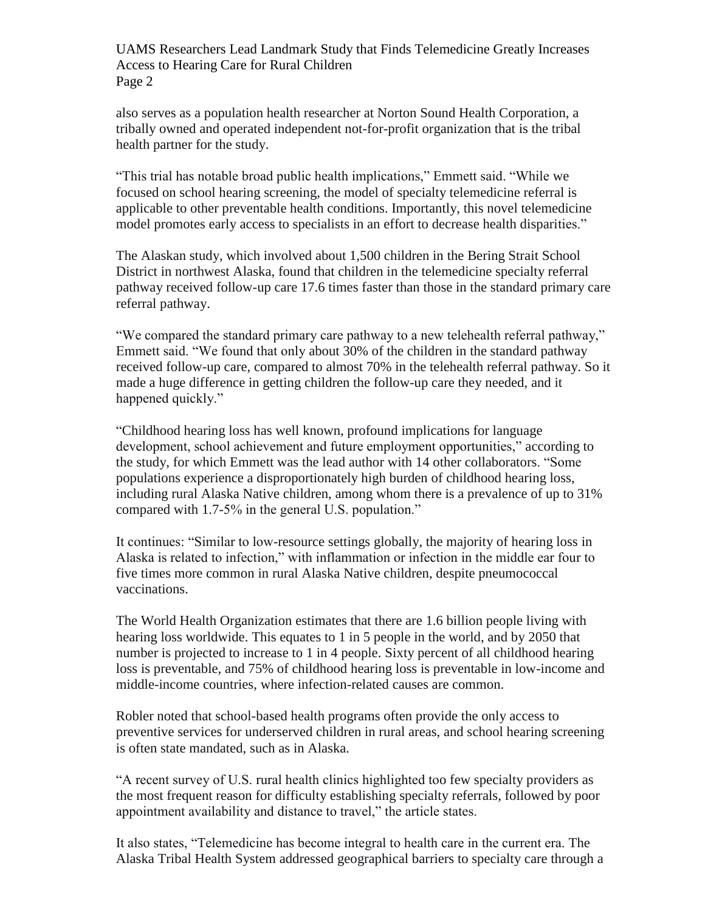UAMS Researchers Lead Landmark Study that Finds Telemedicine Greatly Increases Access to Hearing Care for Rural Children Page 2

also serves as a population health researcher at Norton Sound Health Corporation, a tribally owned and operated independent not-for-profit organization that is the tribal health partner for the study.

"This trial has notable broad public health implications," Emmett said. "While we focused on school hearing screening, the model of specialty telemedicine referral is applicable to other preventable health conditions. Importantly, this novel telemedicine model promotes early access to specialists in an effort to decrease health disparities."

The Alaskan study, which involved about 1,500 children in the Bering Strait School District in northwest Alaska, found that children in the telemedicine specialty referral pathway received follow-up care 17.6 times faster than those in the standard primary care referral pathway.

"We compared the standard primary care pathway to a new telehealth referral pathway," Emmett said. "We found that only about 30% of the children in the standard pathway received follow-up care, compared to almost 70% in the telehealth referral pathway. So it made a huge difference in getting children the follow-up care they needed, and it happened quickly."

"Childhood hearing loss has well known, profound implications for language development, school achievement and future employment opportunities," according to the study, for which Emmett was the lead author with 14 other collaborators. "Some populations experience a disproportionately high burden of childhood hearing loss, including rural Alaska Native children, among whom there is a prevalence of up to 31% compared with 1.7-5% in the general U.S. population."

It continues: "Similar to low-resource settings globally, the majority of hearing loss in Alaska is related to infection," with inflammation or infection in the middle ear four to five times more common in rural Alaska Native children, despite pneumococcal vaccinations.

The World Health Organization estimates that there are 1.6 billion people living with hearing loss worldwide. This equates to 1 in 5 people in the world, and by 2050 that number is projected to increase to 1 in 4 people. Sixty percent of all childhood hearing loss is preventable, and 75% of childhood hearing loss is preventable in low-income and middle-income countries, where infection-related causes are common.

Robler noted that school-based health programs often provide the only access to preventive services for underserved children in rural areas, and school hearing screening is often state mandated, such as in Alaska.

"A recent survey of U.S. rural health clinics highlighted too few specialty providers as the most frequent reason for difficulty establishing specialty referrals, followed by poor appointment availability and distance to travel," the article states.

It also states, "Telemedicine has become integral to health care in the current era. The Alaska Tribal Health System addressed geographical barriers to specialty care through a